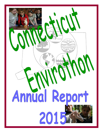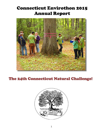# Connecticut Envirothon 2015 Annual Report



## The 24th Connecticut Natural Challenge!

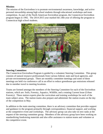## **Mission:**

The mission of the Envirothon is to promote environmental awareness, knowledge, and active personal stewardship among high school students through educational workshops and team competition. As part of the North American Envirothon program, the Connecticut Envirothon program began in 1992. The 2014-2015 year marked the 24th year of offering the program to Connecticut high school students.



### **Steering Committee:**

The Connecticut Envirothon Program is guided by a volunteer Steering Committee. This group consists of natural resource professionals from various federal, state and local agencies, and private environmental groups. There are monthly committee meetings and some of these meetings are held via conference call in an effort to reduce greenhouse gas emissions released due to member travel to meeting locations.

Teams are formed amongst the members of the Steering Committee for each of the Envirothon stations, which are: Soils, Forestry, Aquatics, Wildlife, and a rotating Current Issue (Urban Forestry). These station experts plan the curriculum and training workshops for each of the main subject areas. The station teams also prepare and administer the station exams on the day of the competition in May.

In addition to the main steering committee, there is an advisory committee that provides support and guidance to the program primarily through correspondence, financial support, and working at the competitive event and workshops. The advisory group can also take on new tasks at the request of the steering committee group. Members of the advisory group have been working on standardizing fundraising materials and also offer assistance to station teams and volunteer at the competitive event.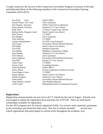A major reason for the success of the Connecticut Envirothon Program is because of the time and dedicated efforts of the following members of the Connecticut Envirothon Steering Committee (2014-2015):

| Lisa Krall<br>Chair          | <b>USDA NRCS</b>                                 |
|------------------------------|--------------------------------------------------|
| Kristen Ponak, Vice Chair    | <b>GEI</b> Consultants                           |
| Pam Huntley, Treasurer       | <b>USDA Forest Service (Retired)</b>             |
| Karen Nelson, Secretary      | Northwest CT Cons. District                      |
| <b>Kelly Starr</b>           | <b>CT River Coastal Cons. District</b>           |
| Barbara Kelly, Program Coord | <b>North Central Cons District</b>               |
| Peter Picone,                | <b>CT DEEP</b>                                   |
| Kim Bradley                  | <b>GEI</b> Consultants                           |
| Chris Sullivan,              | <b>CT DEEP</b>                                   |
| <b>Candace Bartholomew</b>   | <b>UCONN Coop Extension</b>                      |
| Ann Gygax                    | <b>Envirothon Advisor/Retired Educator</b>       |
| Jeff Folger                  | <b>North Central Cons District</b>               |
| <b>Scot Frost</b>            | <b>Hamilton Sunstrand</b>                        |
| Ann Hadley                   | <b>Middlesex Community College</b>               |
| Sean Hayden                  | <b>Northwest CT Cons District</b>                |
| Fred Johnson                 | <b>GEI</b> Consultants                           |
| Jean Laughman                | <b>Envirothon Advisor/Retired Educator</b>       |
| Jean Pillo                   | Eastern CT Cons. District                        |
| <b>Claire Foster</b>         | <b>CT DEEP</b>                                   |
| Jeremy Clark                 | <b>Consulting Forester</b>                       |
| Adam Maikshilo               | <b>USDA NRCS</b>                                 |
| Nancy Marek                  | <b>UConn Cooperative Extension Forester</b>      |
| Laura Rogers-Castro          | <b>CT DEEP</b>                                   |
| Joanna Shapiro               | <b>North Central Cons District</b>               |
| Denise Savageau              | <b>Southwest Cons. District</b>                  |
| Sarah Smith                  | <b>Envirothon Advisor/Retired Educator</b>       |
| Greg Watkins-Colwell         | <b>Yale Peabody Museum</b>                       |
| Carol Youell                 | <b>Metropolitan District Commission Forester</b> |
|                              |                                                  |

#### **Registration:**

Registration announcements are sent out to all CT schools by the end of August. Schools were encouraged to submit the registration form and entry fee of \$75.00. There are need based scholarships available for registration.

For the 2015 program year 43 schools registered (Table 1) to receive study materials, participate in the workshops and attend the field event. This list of schools included several new school registrations that participated at various levels throughout the academic year.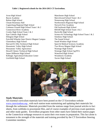#### **Table 1. Registered schools for the 2014-2015 CT Envirothon.**

Avon High School Bacon Academy Bolton High School Choate Rosemary Hall Coginchaug Regional High School Common Ground High School Team 1 & 2 Connecticut River Academy Crosby High School Team 1 & 2 East Catholic High School Ellington High School Fairchild Wheeler Inter District Magnet Campus Glastonbury High School Harvard H. Ellis Technical High School Housatonic Valley High School Housatonic Valley Agriscience Howell Cheney Technical High School James Hillhouse High School Killingly Agricultural Education Center Litchfield High School

Manchester High School Marvelwood School Team 1 & 2 Nonnewaug High School Northwestern Regional High School Norwich Free Academy Old Saybrook High School RHAM High School Team 1 & 2 Rockville High School Science & Technology High School Team 1 & 2 Simsbury High School The Sound School South Windsor High School Sport & Medical Sciences Academy Two Rivers Magnet High School Wamogo High School Wamogo High School Ag/FFA Waterford High School Woodstock Academy Xavier High School



### **Study Materials:**

All essential curriculum materials have been posted on the CT Envirothon website www.ctenvirothon.org , with each station team maintaining and updating their materials list through the webmaster. Materials provided from the stations range from journal articles to fact sheets, from weblinks to powerpoint files, and of course examples of previous exam questions and other study guides. Envirothon programs from other states have linked their station pages to the Connecticut webpage resources to assist their own teams in preparation. This fact alone is testament to the strength of the materials and training provided by the CT Envirothon Steering Committee members.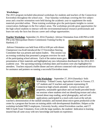#### **Workshops:**

The 2015 program included educational workshops for students and teachers of the Connecticut Envirothon throughout the school year. Four Saturday workshops covering the five subject areas and a teacher orientation were held during the academic year to supplement the study materials provided online. These training workshops give the participants insights to current conservation challenges in the five subject areas. The workshops provide great opportunities for the high school students to interact with the environmental/natural resource professionals and learn not only the facts but discuss career and college opportunities.

**Teacher Workshop-** September 23, 2014 (Tuesday)- Advisor Orientation from 4:00 PM to 6:00

PM at the Metropolitan District Commission Training Facility in Hartford, CT

 Advisor Orientation was held from 4:00 to 6:00 pm with dinner. Chairperson Lisa Krall introduced the CT Envirothon Steering Committee that was present and station leaders. This session was an evening workshop that presented a program overview for each of the participating school advisors. Each of the station teams gave



presentation of their materials and highlighted any new information distributed for the 2014-2015 academic year. The upcoming training workshop dates and locations were also highlighted for attendees. Teachers enjoyed a buffet dinner and new advisors connected with experienced advisors for assistance and pointers on running a successful Envirothon team.



**Soils Workshop -** September 27, 2014 (Saturday)- Soils Workshop - Tolland County Agricultural Center in Vernon, CT. 127 students and 31 teachers and parents representing 25 Connecticut high schools attended. Lectures on basic soil properties, sustainable agriculture and soil health preceded breakout sessions where students tried out identifying texture and color; learned about map reading, aerial photography, and soil web applications; participated in a mock soils exam at the soil pit;

watched a demonstration of the rainfall simulator; and learned about micro-green production at the center by a program that focuses on training adults with developmental disabilities. Helpers at the workshop included NRCS employees, University faculty, retired Envirothon coaches, and CT NRCS Earth Team Volunteers. Even with the large numbers, the students' dedication to learning insured that all came away with new knowledge and hands-on experience.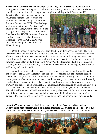**Forestry and Current Issue Workshop -** October 18, 2014 at Sessions Woods Wildlife Management Center, Burlington, CT. This year the Forestry and Current Issue workshop were combined for a full day of learning on many topics pertaining to both Forestry and Urban

Forestry. Over 160 students, mentors and volunteers attended. The welcome and introductions were made by Claire Foster, from the Connecticut DEEP. The day began with a presentation on "What is a Tree?" given by Jeff Ward, Chief Scientist from the CT Agricultural Experiment Station. Next, Tom Worthley, UCONN Assistant Professor and Chris Donnelly, Urban Forestry Coordinator with the CT DEEP gave a presentation comparing Traditional and Urban Forestry.



 Once the indoor presentations were completed the students moved outside. The field exercises focused on hands on instruction and practice with Pacing, Tree Measurements, Tree Identification and Forest Management, with an emphasis on urban forestry tree assessments. The following foresters, tree wardens, and forestry experts assisted with the field portion of the program: Joseph Barsky, Kirk Blanchard, Jeremy Clark, Chris Donnelly, Mike Gaines, Jim Govoni, John Hass, Andy Hubbard, Tony Mitchell, Dennis Panu, Scott Rogers, Annie Shutts, Jeff Ward, and Carol Youell.

After the morning field sessions, everyone enjoyed box lunches made possible by the generosity of the CT Tree Wardens' Association before moving into the afternoon session. Charmaine Craig, the Director of Community Involvement with Knox, gave a presentation on the importance of community involvement in urban forestry. Her presentation was followed by two breakout sessions: the first on Tree Benefits and Products, led by Tom Worthley from UCONN and the second on Tree Health, Conditions, and Concerns, led by Chris Donnelly from CT DEEP. The day concluded with a presentation on Forest Management Plans given by Hannah Reichle, recent UCONN Natural Resources graduate and CT Envirothon alumna. At the end of the workshop foresters were available to answer additional questions and provide guidance for students and teachers who wanted to practice and improve their forestry skills.

**Aquatics Workshop -** January 17, 2015 at Connecticut River Academy in East Hartford. Twenty-seven high schools were in attendance, including 127 students and a total of over 160 participants counting instructors involved, based on sign in information. The combination of

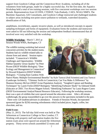support from Goodwin College and the Connecticut River Academy, including all of the volunteers from both groups, made for a highly successful day. For the first time, the Aquatics Workshop held a total of ten training sessions, with five concurrent workshops over two session periods. Representatives from UCONN, CTDEEP, Yale-Peabody, CAES, NOAA NMFS, The Maritime Aquarium, GEI Consultants, and Goodwin College instructed and challenged students in subject areas including non-point source pollution to wetlands, watershed dynamics, identification of fish,

amphibians, invertebrates, aquatic invasive plants, as well as introduced concepts in aquatic sampling techniques and forms of equipment. Evaluation forms the students and instructors were asked to fill out following the session and independent feedback demonstrated that all involved were very satisfied with the workshop.

**Wildlife Workshop** – March 7, 2015 at Session Woods WMA, Burlington, CT

The wildlife training workshop had several concurrent activities for the student teams. Students had six wildlife-related talks to choose from and attend. Session topics included: "Connecticut's Wildlife Challenges and Opportunities: Wildlife Habitat Quantity versus Quality" by Peter Picone (DEEP Wildlife Biologist); "Deer Ecology and Management in Connecticut" by Howard Kilpatrick (DEEP Wildlife Biologist) ; "Creating Rain Gardens With



Native Plants: Multiple Environmental Benefits" by Kyle Turoczi (Soil Scientist) and Lisa Turoczi (Landscape Architect); "Chimney Swifts in Connecticut; Can You Make A Difference" by Shannon Kearney-McGee (DEEP Avian Population Analyst); "Songbird Capture and Banding Techniques" by Laurie Fortin (DEEP Biologist); "Identifying Furbearer Skulls" by Edmund Smith (Educator at CREC Two Rivers Magnet School; "Identifying Furbearers" by Laura Rogers-Castro (DEEP Environmental Analyst/Natural Resource Educator); Following the workshop sessions, there was a quiz of exhibits that were spaced around the education center. After a 40 minute walkthrough, the group reassembled to go over the answers to the specimens included in the quiz.

 There were 120 students/advisors in attendance. Friends of Sessions Woods, Incorporated sponsored (grant for \$250) morning refreshments which included juices, bagels, coffee, hot chocolate, and tea.

### **Field Event:**

(May 21, 2015) The full-day field event was held at The Arboretum at Connecticut College in New London, CT. Working with property staff and station leaders the five station exam areas were spaced out around the Arboretum property. Thirty-seven schools assembled 52 teams and

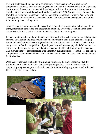over 250 students participated in the competition. There were nine "wild card teams" comprised of alternates from participating schools which allows more students to be exposed to the process of the event and show their knowledge. Advisors from the participating teams attended a three hour workshop about Invasive Species (the 2016 Current Issue). Donna Ellis, from the University of Connecticut (and co-chair of the Connecticut Invasive Plant Working Group) spoke and provided live specimens to ID. The Advisors then were given a tour of the Arboretum by Conn College Staff.

Student teams arrived in buses and vans and were guided to the registration table to get their tshirts, information packet and oral presentation numbers. Everyone assembled in the grass amphitheater for the opening ceremonies and distribution into exam groups.

Each of the stations featured a written exam for the student teams to complete in a collaborative manner. Each station included some hands-on component to their exam questions, ranging from fish identification to measuring board feet of a tree; these tasks challenged the teams on many levels. After the competition, all participants and volunteers enjoyed a BBQ luncheon in at the picnic facilities. Teams relaxed on the grass and at tables while enjoying the weather. This allowed time for decompressing after a mentally taxing morning. A raffle was conducted comprised of several donated items for the students while the exam scores were being tabulated for final tallies.

Once team totals were finalized by the grading volunteers, the teams reassembled at the Amphitheater to await their scores and accompanying awards. First place was award to Coginchaug Regional High School; 2nd Place: Housatonic Valley Agriscience and 3rd Place: Housatonic High School School.

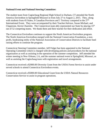## **National Event and National Steering Committee:**

The student team from Coginchaug Regional High School in Durham, CT attended the North America Envirothon in Springfield Missouri in from July 27 to August 2, 2015. They, along with students from 45 States, 6 Canadian Provinces and 1 Territory competed in the 27<sup>th</sup> International Event. They were accompanied by their Teacher/Advisor, Susan Michael, and Chaperone, Kevin Charrette. The Connecticut team ably represented our State by placing 15<sup>th</sup> out of 52 competing teams. We thank them and their teacher for their dedication and effort.

The Connecticut Envirothon continues to support the North American Envirothon program. The North American Envirothon merged with the National Conservation Foundation, a nonprofit, fundraising entity of the National Association of Conservation Districts to facilitate fund raising efforts to continue the program.

Connecticut Steering Committee member, Jeff Folger has been appointed to the National Operating Committee which is charged with developing policies and procedures for the national organization as well as assisting in the operation of the summer competition. Jeff attended the winter meeting in New Orleans, LA, and the summer national event in Springfield, Missouri, as well as assisting the Coginchaug team with registration and travel arrangements.

Connecticut received a \$2000.00 Diversity Grant from the USDA Forest Service to assist under served schools to attend Connecticut Envirothon events.

Connecticut received a \$5000.00 Educational Grant from the USDA Natural Resources Conservation Service to assist in program operations.

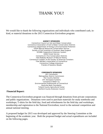## THANK YOU!

We would like to thank the following organizations and individuals who contributed cash, inkind, or material donations to the 2015 Connecticut Envirothon program:

#### **AGENCY SPONSORS**

Connecticut Council on Soil and Water Conservation Connecticut Association of Soil & Water Conservation Districts Connecticut Department of Energy & Environmental Protection USDA Natural Resources Conservation Service Society of Soil Scientists of Southern New England UCONN Cooperative Extension System USDA Forest Service Connecticut's Five Conservation Districts Yale Peabody Museum of Natural History Connecticut Chapter of the Society of American Foresters Tree Warden's Association of Connecticut Connecticut College Arboretum Friends of Sessions Woods

#### **CORPORATE SPONSORS**

GEI Consultants Metropolitan District Commission The Country Butcher UTC Aerospace Systems Connecticut Water Co. Environmental Professionals of Connecticut Rockville Bank Foundation Tolland County Agricultural Center Hartford County Extension Council

#### **Financial Report:**

The Connecticut Envirothon program was financed through donations from private corporations and public organizations. Donations were used to purchase materials for study notebooks and workshops; T-shirts for the field day; food and refreshments for the field day and workshops; membership and registration to the National Envirothon; travel to the national competition and annual national meeting.

A proposed budget for 2015 was developed and approved by the Steering Committee at the beginning of the academic year. Both the proposed budget and actual expenditures are included on the following pages.